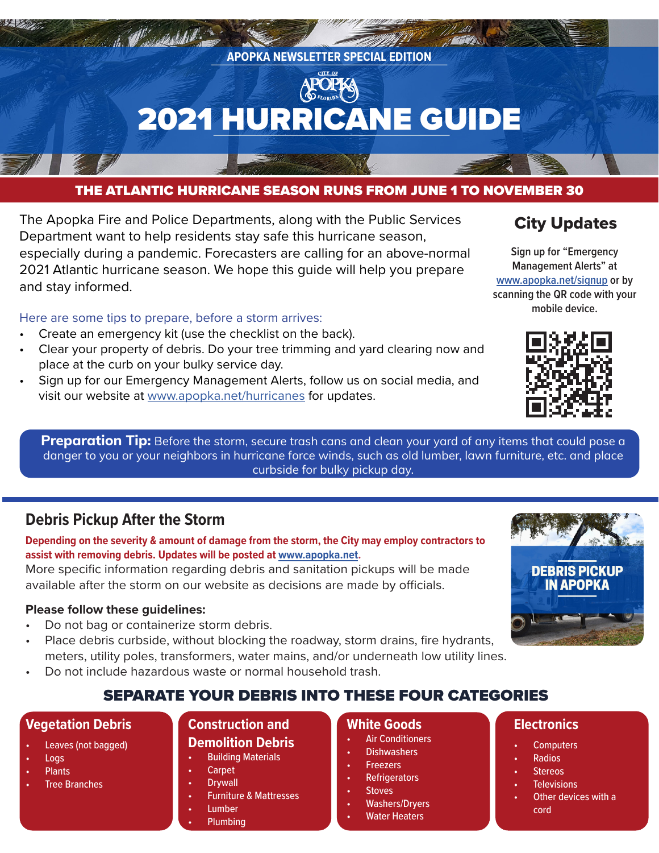

#### THE ATLANTIC HURRICANE SEASON RUNS FROM JUNE 1 TO NOVEMBER 30

The Apopka Fire and Police Departments, along with the Public Services Department want to help residents stay safe this hurricane season, especially during a pandemic. Forecasters are calling for an above-normal 2021 Atlantic hurricane season. We hope this guide will help you prepare and stay informed.

Here are some tips to prepare, before a storm arrives:

- Create an emergency kit (use the checklist on the back).
- Clear your property of debris. Do your tree trimming and yard clearing now and place at the curb on your bulky service day.
- Sign up for our Emergency Management Alerts, follow us on social media, and visit our website at [www.apopka.net/hurricanes](http://www.apopka.net/hurricanes) for updates.

## City Updates

**Sign up for "Emergency Management Alerts" at [www.apopka.net/signup](http://www.apopka.net/signup) or by scanning the QR code with your mobile device.**



**Preparation Tip:** Before the storm, secure trash cans and clean your yard of any items that could pose a danger to you or your neighbors in hurricane force winds, such as old lumber, lawn furniture, etc. and place curbside for bulky pickup day.

## **Debris Pickup After the Storm**

**Depending on the severity & amount of damage from the storm, the City may employ contractors to assist with removing debris. Updates will be posted at [www.apopka.net.](http://www.apopka.net)** 

More specific information regarding debris and sanitation pickups will be made available after the storm on our website as decisions are made by officials.

#### **Please follow these guidelines:**

- Do not bag or containerize storm debris.
- Place debris curbside, without blocking the roadway, storm drains, fire hydrants, meters, utility poles, transformers, water mains, and/or underneath low utility lines.
- Do not include hazardous waste or normal household trash.

## SEPARATE YOUR DEBRIS INTO THESE FOUR CATEGORIES

#### **Vegetation Debris**

- Leaves (not bagged)
- Logs
- Plants
- **Tree Branches**

#### **Construction and Demolition Debris**

#### **Building Materials**

- **Carpet**
- **Drywall**
- Furniture & Mattresses
- **Lumber**
- Plumbing

#### **White Goods**

- **Air Conditioners**
- **Dishwashers**
- **Freezers**
- **Refrigerators**
- **Stoves**
- Washers/Dryers
- **Water Heaters**

#### **Electronics**

- **Computers**
- Radios
- **Stereos**
- **Televisions**
- Other devices with a cord